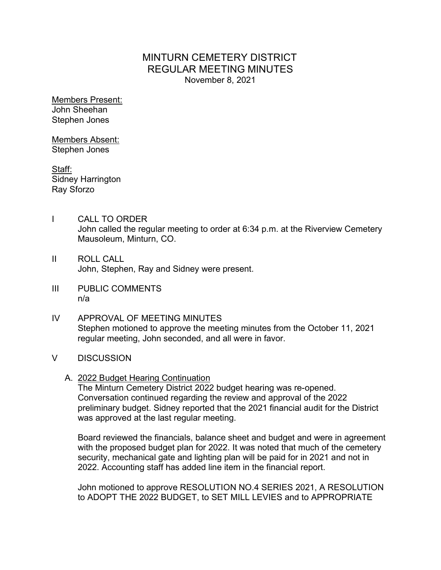# MINTURN CEMETERY DISTRICT REGULAR MEETING MINUTES November 8, 2021

Members Present: John Sheehan Stephen Jones

Members Absent: Stephen Jones

Staff: Sidney Harrington Ray Sforzo

- I CALL TO ORDER John called the regular meeting to order at 6:34 p.m. at the Riverview Cemetery Mausoleum, Minturn, CO.
- II ROLL CALL John, Stephen, Ray and Sidney were present.
- III PUBLIC COMMENTS n/a
- IV APPROVAL OF MEETING MINUTES Stephen motioned to approve the meeting minutes from the October 11, 2021 regular meeting, John seconded, and all were in favor.
- V DISCUSSION
	- A. 2022 Budget Hearing Continuation

The Minturn Cemetery District 2022 budget hearing was re-opened. Conversation continued regarding the review and approval of the 2022 preliminary budget. Sidney reported that the 2021 financial audit for the District was approved at the last regular meeting.

Board reviewed the financials, balance sheet and budget and were in agreement with the proposed budget plan for 2022. It was noted that much of the cemetery security, mechanical gate and lighting plan will be paid for in 2021 and not in 2022. Accounting staff has added line item in the financial report.

John motioned to approve RESOLUTION NO.4 SERIES 2021, A RESOLUTION to ADOPT THE 2022 BUDGET, to SET MILL LEVIES and to APPROPRIATE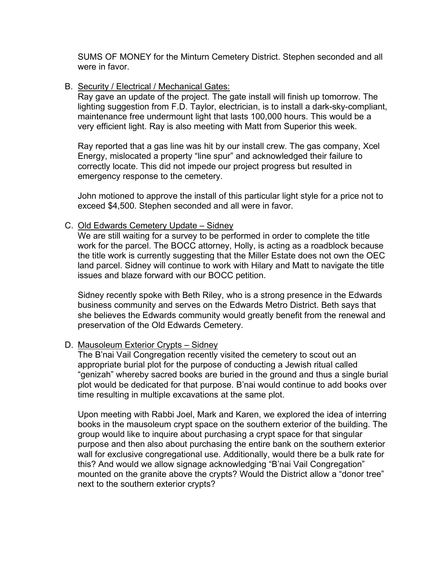SUMS OF MONEY for the Minturn Cemetery District. Stephen seconded and all were in favor.

#### B. Security / Electrical / Mechanical Gates:

Ray gave an update of the project. The gate install will finish up tomorrow. The lighting suggestion from F.D. Taylor, electrician, is to install a dark-sky-compliant, maintenance free undermount light that lasts 100,000 hours. This would be a very efficient light. Ray is also meeting with Matt from Superior this week.

Ray reported that a gas line was hit by our install crew. The gas company, Xcel Energy, mislocated a property "line spur" and acknowledged their failure to correctly locate. This did not impede our project progress but resulted in emergency response to the cemetery.

John motioned to approve the install of this particular light style for a price not to exceed \$4,500. Stephen seconded and all were in favor.

### C. Old Edwards Cemetery Update – Sidney

We are still waiting for a survey to be performed in order to complete the title work for the parcel. The BOCC attorney, Holly, is acting as a roadblock because the title work is currently suggesting that the Miller Estate does not own the OEC land parcel. Sidney will continue to work with Hilary and Matt to navigate the title issues and blaze forward with our BOCC petition.

Sidney recently spoke with Beth Riley, who is a strong presence in the Edwards business community and serves on the Edwards Metro District. Beth says that she believes the Edwards community would greatly benefit from the renewal and preservation of the Old Edwards Cemetery.

#### D. Mausoleum Exterior Crypts – Sidney

The B'nai Vail Congregation recently visited the cemetery to scout out an appropriate burial plot for the purpose of conducting a Jewish ritual called "genizah" whereby sacred books are buried in the ground and thus a single burial plot would be dedicated for that purpose. B'nai would continue to add books over time resulting in multiple excavations at the same plot.

Upon meeting with Rabbi Joel, Mark and Karen, we explored the idea of interring books in the mausoleum crypt space on the southern exterior of the building. The group would like to inquire about purchasing a crypt space for that singular purpose and then also about purchasing the entire bank on the southern exterior wall for exclusive congregational use. Additionally, would there be a bulk rate for this? And would we allow signage acknowledging "B'nai Vail Congregation" mounted on the granite above the crypts? Would the District allow a "donor tree" next to the southern exterior crypts?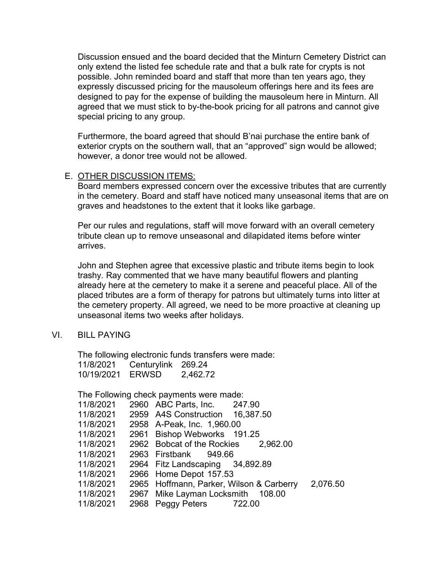Discussion ensued and the board decided that the Minturn Cemetery District can only extend the listed fee schedule rate and that a bulk rate for crypts is not possible. John reminded board and staff that more than ten years ago, they expressly discussed pricing for the mausoleum offerings here and its fees are designed to pay for the expense of building the mausoleum here in Minturn. All agreed that we must stick to by-the-book pricing for all patrons and cannot give special pricing to any group.

Furthermore, the board agreed that should B'nai purchase the entire bank of exterior crypts on the southern wall, that an "approved" sign would be allowed; however, a donor tree would not be allowed.

#### E. OTHER DISCUSSION ITEMS:

Board members expressed concern over the excessive tributes that are currently in the cemetery. Board and staff have noticed many unseasonal items that are on graves and headstones to the extent that it looks like garbage.

Per our rules and regulations, staff will move forward with an overall cemetery tribute clean up to remove unseasonal and dilapidated items before winter arrives.

John and Stephen agree that excessive plastic and tribute items begin to look trashy. Ray commented that we have many beautiful flowers and planting already here at the cemetery to make it a serene and peaceful place. All of the placed tributes are a form of therapy for patrons but ultimately turns into litter at the cemetery property. All agreed, we need to be more proactive at cleaning up unseasonal items two weeks after holidays.

#### VI. BILL PAYING

The following electronic funds transfers were made: 11/8/2021 Centurylink 269.24 10/19/2021 ERWSD 2,462.72

The Following check payments were made:

| 11/8/2021 | 2960 ABC Parts, Inc. 247.90              |          |
|-----------|------------------------------------------|----------|
| 11/8/2021 | 2959 A4S Construction 16,387.50          |          |
| 11/8/2021 | 2958 A-Peak, Inc. 1,960.00               |          |
| 11/8/2021 | 2961 Bishop Webworks 191.25              |          |
| 11/8/2021 | 2962 Bobcat of the Rockies 2,962.00      |          |
| 11/8/2021 | 2963 Firstbank 949.66                    |          |
| 11/8/2021 | 2964 Fitz Landscaping 34,892.89          |          |
| 11/8/2021 | 2966 Home Depot 157.53                   |          |
| 11/8/2021 | 2965 Hoffmann, Parker, Wilson & Carberry | 2,076.50 |
| 11/8/2021 | 2967 Mike Layman Locksmith 108.00        |          |
| 11/8/2021 | 2968 Peggy Peters 722.00                 |          |